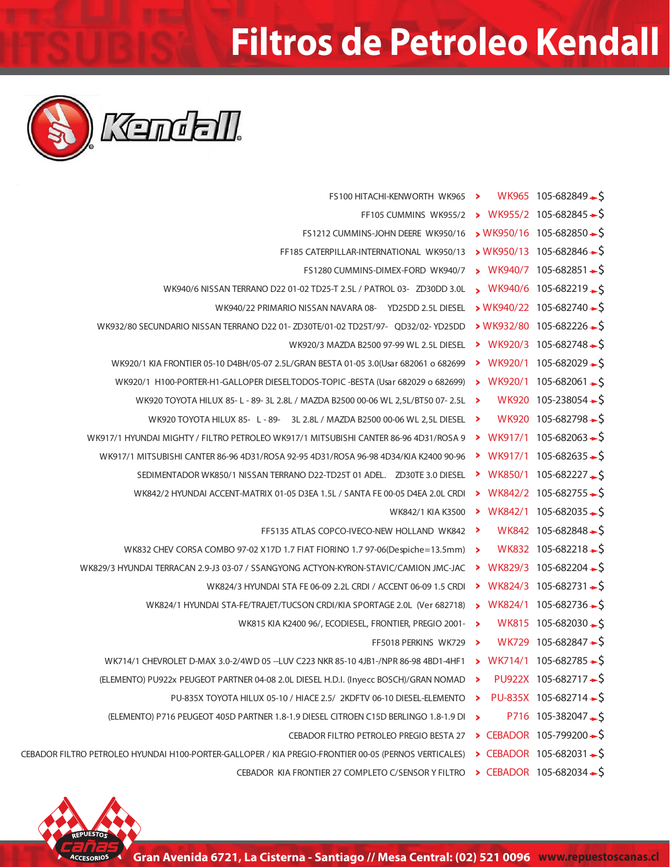## **Filtros de Petroleo Kendall**



| $WK965$ 105-682849 $\rightarrow$ \$<br>FS100 HITACHI-KENWORTH WK965 >                                                  |                                   |
|------------------------------------------------------------------------------------------------------------------------|-----------------------------------|
| $\times$ WK955/2 105-682845 $\div$ \$                                                                                  |                                   |
| $\times$ WK950/16 105-682850 $\div$ \$                                                                                 |                                   |
| $\triangleright$ WK950/13 105-682846 $\rightarrow$ S                                                                   |                                   |
| $WK940/7$ 105-682851 $\rightarrow$                                                                                     |                                   |
| WK940/6 105-682219 S                                                                                                   |                                   |
| $WK940/22$ 105-682740 $\rightarrow$ S                                                                                  |                                   |
| $\times$ WK932/80 105-682226 $\div$ \$                                                                                 |                                   |
| $\triangleright$ WK920/3 105-682748 $\rightarrow$ \$                                                                   |                                   |
| $\triangleright$ WK920/1 105-682029 $\rightarrow$ S                                                                    |                                   |
| > WK920/1 105-682061 - \$                                                                                              |                                   |
| WK920 105-238054 $\rightarrow$ \$<br>WK920 TOYOTA HILUX 85-L - 89- 3L 2.8L / MAZDA B2500 00-06 WL 2,5L/BT50 07- 2.5L > |                                   |
| WK920 105-682798-S<br>WK920 TOYOTA HILUX 85- L - 89- 3L 2.8L / MAZDA B2500 00-06 WL 2,5L DIESEL >                      |                                   |
| ▶ WK917/1 105-682063 $\rightarrow$ \$                                                                                  |                                   |
| • WK917/1 105-682635 $\rightarrow$                                                                                     |                                   |
| WK850/1 105-682227-S<br>Σ.                                                                                             |                                   |
| $WK842/2$ 105-682755 $\rightarrow$                                                                                     |                                   |
| • WK842/1 105-682035 - \$                                                                                              |                                   |
| WK842 105-682848-\$<br>FF5135 ATLAS COPCO-IVECO-NEW HOLLAND WK842 >                                                    |                                   |
| WK832 105-682218-S<br>WK832 CHEV CORSA COMBO 97-02 X17D 1.7 FIAT FIORINO 1.7 97-06(Despiche=13.5mm) >                  |                                   |
| WK829/3 105-682204-\$                                                                                                  |                                   |
| $\triangleright$ WK824/3 105-682731 $\rightarrow$ S                                                                    |                                   |
| $WK824/1$ 105-682736 $\rightarrow$ \$                                                                                  |                                   |
| WK815 105-682030-S<br>WK815 KIA K2400 96/, ECODIESEL, FRONTIER, PREGIO 2001- >                                         |                                   |
| $WK729 105-682847 - $$<br>FF5018 PERKINS WK729 >                                                                       |                                   |
| $\triangleright$ WK714/1 105-682785 $\rightarrow$ S                                                                    |                                   |
| PU922X 105-682717 $\rightarrow$ \$<br>⋗                                                                                |                                   |
| PU-835X 105-682714 $\rightarrow$ \$<br>⋗                                                                               |                                   |
| (ELEMENTO) P716 PEUGEOT 405D PARTNER 1.8-1.9 DIESEL CITROEN C15D BERLINGO 1.8-1.9 DI                                   | $P716$ 105-382047 $\rightarrow$ S |
| > CEBADOR 105-799200 - \$                                                                                              |                                   |
| ▶ CEBADOR 105-682031 $\rightarrow$ S                                                                                   |                                   |
| ▶ CEBADOR 105-682034 $\rightarrow$ \$                                                                                  |                                   |
|                                                                                                                        |                                   |